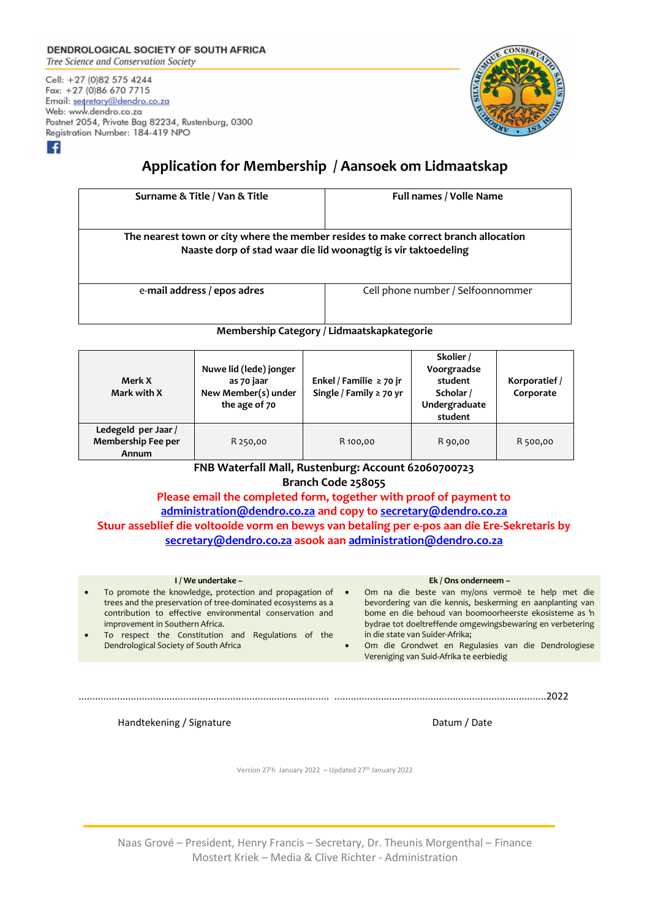## **DENDROLOGICAL SOCIETY OF SOUTH AFRICA**

Tree Science and Conservation Society

۰£۱

Cell: +27 (0)82 575 4244 Fax: +27 (0)86 670 7715 Email: segretary@dendro.co.za Web: www.dendro.co.za Postnet 2054, Private Bag 82234, Rustenburg, 0300 Registration Number: 184-419 NPO



# **Application for Membership / Aansoek om Lidmaatskap**

| Surname & Title / Van & Title                                                                                                                         | <b>Full names / Volle Name</b>    |  |  |  |  |
|-------------------------------------------------------------------------------------------------------------------------------------------------------|-----------------------------------|--|--|--|--|
| The nearest town or city where the member resides to make correct branch allocation<br>Naaste dorp of stad waar die lid woonagtig is vir taktoedeling |                                   |  |  |  |  |
| e-mail address / epos adres                                                                                                                           | Cell phone number / Selfoonnommer |  |  |  |  |

#### **Membership Category / Lidmaatskapkategorie**

| Merk X<br>Mark with X                              | Nuwe lid (lede) jonger<br>as 70 jaar<br>New Member(s) under<br>the age of 70 | Enkel / Familie $\geq$ 70 jr<br>Single / Family $\geq$ 70 yr | Skolier /<br>Voorgraadse<br>student<br>Scholar /<br>Undergraduate<br>student | Korporatief /<br>Corporate |
|----------------------------------------------------|------------------------------------------------------------------------------|--------------------------------------------------------------|------------------------------------------------------------------------------|----------------------------|
| Ledegeld per Jaar /<br>Membership Fee per<br>Annum | R 250,00                                                                     | R 100,00                                                     | R 90,00                                                                      | R 500,00                   |

#### **FNB Waterfall Mall, Rustenburg: Account 62060700723 Branch Code 258055**

**Please email the completed form, together with proof of payment to [administration@dendro.co.za](mailto:administration@dendro.co.za) and copy t[o secretary@dendro.co.za](mailto:secretary@dendro.co.za) Stuur asseblief die voltooide vorm en bewys van betaling per e-pos aan die Ere‐Sekretaris by [secretary@dendro.co.za](mailto:secretary@dendro.co.za) asook aa[n administration@dendro.co.za](mailto:administration@dendro.co.za)**

#### **I / We undertake –** • To promote the knowledge, protection and propagation of trees and the preservation of tree-dominated ecosystems as a contribution to effective environmental conservation and improvement in Southern Africa. To respect the Constitution and Regulations of the Dendrological Society of South Africa **Ek / Ons onderneem –** • Om na die beste van my/ons vermoë te help met die bevordering van die kennis, beskerming en aanplanting van bome en die behoud van boomoorheerste ekosisteme as 'n bydrae tot doeltreffende omgewingsbewaring en verbetering in die state van Suider‐Afrika; • Om die Grondwet en Regulasies van die Dendrologiese Vereniging van Suid-Afrika te eerbiedig ........................................................................................... .............................................................................2022

Handtekening / Signature **Datum 1996** and Datum *Datum 1 Date* 

Version 27<sup>t</sup>h January 2022 - Updated 27<sup>th</sup> January 2022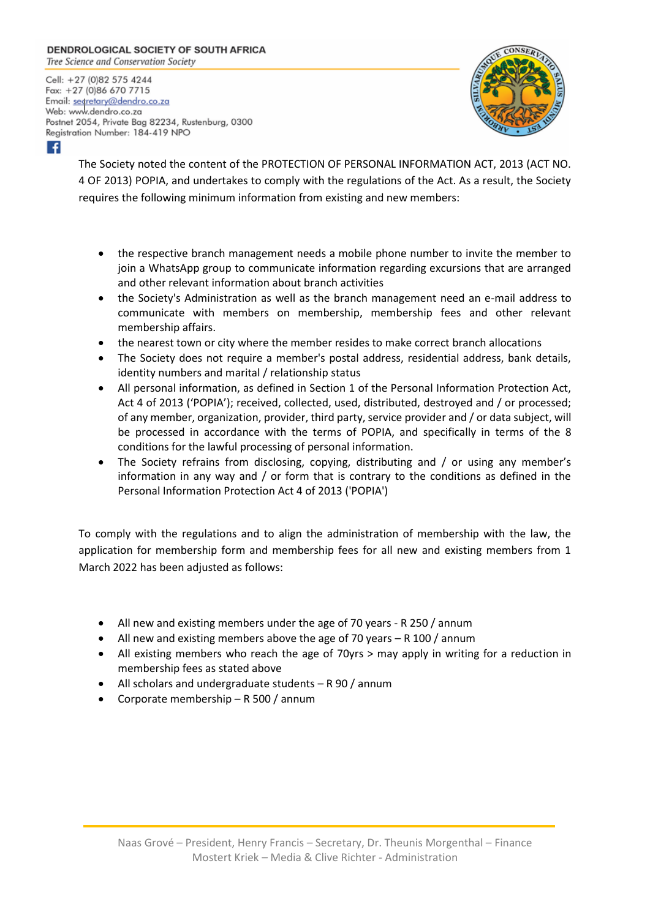### **DENDROLOGICAL SOCIETY OF SOUTH AFRICA**

Tree Science and Conservation Society

Cell: +27 (0)82 575 4244 Fax: +27 (0)86 670 7715 Email: segretary@dendro.co.za Web: www.dendro.co.za Postnet 2054, Private Bag 82234, Rustenburg, 0300 Registration Number: 184-419 NPO



H

The Society noted the content of the PROTECTION OF PERSONAL INFORMATION ACT, 2013 (ACT NO. 4 OF 2013) POPIA, and undertakes to comply with the regulations of the Act. As a result, the Society requires the following minimum information from existing and new members:

- the respective branch management needs a mobile phone number to invite the member to join a WhatsApp group to communicate information regarding excursions that are arranged and other relevant information about branch activities
- the Society's Administration as well as the branch management need an e-mail address to communicate with members on membership, membership fees and other relevant membership affairs.
- the nearest town or city where the member resides to make correct branch allocations
- The Society does not require a member's postal address, residential address, bank details, identity numbers and marital / relationship status
- All personal information, as defined in Section 1 of the Personal Information Protection Act, Act 4 of 2013 ('POPIA'); received, collected, used, distributed, destroyed and / or processed; of any member, organization, provider, third party, service provider and / or data subject, will be processed in accordance with the terms of POPIA, and specifically in terms of the 8 conditions for the lawful processing of personal information.
- The Society refrains from disclosing, copying, distributing and / or using any member's information in any way and  $/$  or form that is contrary to the conditions as defined in the Personal Information Protection Act 4 of 2013 ('POPIA')

To comply with the regulations and to align the administration of membership with the law, the application for membership form and membership fees for all new and existing members from 1 March 2022 has been adjusted as follows:

- All new and existing members under the age of 70 years R 250 / annum
- All new and existing members above the age of 70 years R 100 / annum
- All existing members who reach the age of 70yrs > may apply in writing for a reduction in membership fees as stated above
- All scholars and undergraduate students R 90 / annum
- Corporate membership R 500 / annum